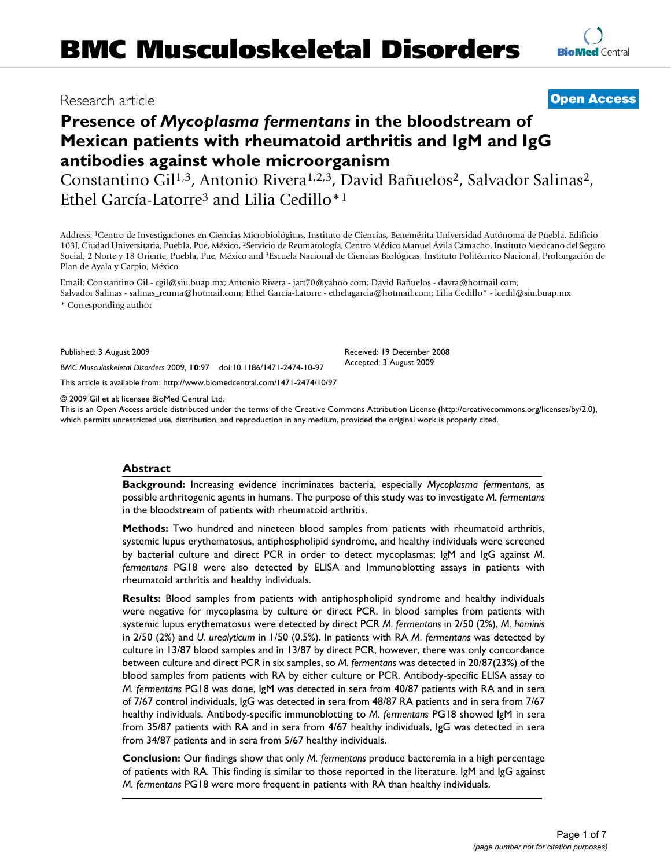# Research article

# **[Open Access](http://www.biomedcentral.com/info/about/charter/)**

**[BioMed](http://www.biomedcentral.com/)** Central

# **Presence of** *Mycoplasma fermentans* **in the bloodstream of Mexican patients with rheumatoid arthritis and IgM and IgG antibodies against whole microorganism**

Constantino Gil<sup>1,3</sup>, Antonio Rivera<sup>1,2,3</sup>, David Bañuelos<sup>2</sup>, Salvador Salinas<sup>2</sup>, Ethel García-Latorre3 and Lilia Cedillo\*1

Address: 1Centro de Investigaciones en Ciencias Microbiológicas, Instituto de Ciencias, Benemérita Universidad Autónoma de Puebla, Edificio 103J, Ciudad Universitaria, Puebla, Pue, México, 2Servicio de Reumatología, Centro Médico Manuel Ávila Camacho, Instituto Mexicano del Seguro Social, 2 Norte y 18 Oriente, Puebla, Pue, México and 3Escuela Nacional de Ciencias Biológicas, Instituto Politécnico Nacional, Prolongación de Plan de Ayala y Carpio, México

Email: Constantino Gil - cgil@siu.buap.mx; Antonio Rivera - jart70@yahoo.com; David Bañuelos - davra@hotmail.com; Salvador Salinas - salinas\_reuma@hotmail.com; Ethel García-Latorre - ethelagarcia@hotmail.com; Lilia Cedillo\* - lcedil@siu.buap.mx

\* Corresponding author

Published: 3 August 2009

*BMC Musculoskeletal Disorders* 2009, **10**:97 doi:10.1186/1471-2474-10-97

[This article is available from: http://www.biomedcentral.com/1471-2474/10/97](http://www.biomedcentral.com/1471-2474/10/97)

© 2009 Gil et al; licensee BioMed Central Ltd.

This is an Open Access article distributed under the terms of the Creative Commons Attribution License [\(http://creativecommons.org/licenses/by/2.0\)](http://creativecommons.org/licenses/by/2.0), which permits unrestricted use, distribution, and reproduction in any medium, provided the original work is properly cited.

Received: 19 December 2008 Accepted: 3 August 2009

#### **Abstract**

**Background:** Increasing evidence incriminates bacteria, especially *Mycoplasma fermentans*, as possible arthritogenic agents in humans. The purpose of this study was to investigate *M. fermentans* in the bloodstream of patients with rheumatoid arthritis.

**Methods:** Two hundred and nineteen blood samples from patients with rheumatoid arthritis, systemic lupus erythematosus, antiphospholipid syndrome, and healthy individuals were screened by bacterial culture and direct PCR in order to detect mycoplasmas; IgM and IgG against *M. fermentans* PG18 were also detected by ELISA and Immunoblotting assays in patients with rheumatoid arthritis and healthy individuals.

**Results:** Blood samples from patients with antiphospholipid syndrome and healthy individuals were negative for mycoplasma by culture or direct PCR. In blood samples from patients with systemic lupus erythematosus were detected by direct PCR *M. fermentans* in 2/50 (2%), *M. hominis* in 2/50 (2%) and *U. urealyticum* in 1/50 (0.5%). In patients with RA *M. fermentans* was detected by culture in 13/87 blood samples and in 13/87 by direct PCR, however, there was only concordance between culture and direct PCR in six samples, so *M. fermentans* was detected in 20/87(23%) of the blood samples from patients with RA by either culture or PCR. Antibody-specific ELISA assay to *M. fermentans* PG18 was done, IgM was detected in sera from 40/87 patients with RA and in sera of 7/67 control individuals, IgG was detected in sera from 48/87 RA patients and in sera from 7/67 healthy individuals. Antibody-specific immunoblotting to *M. fermentans* PG18 showed IgM in sera from 35/87 patients with RA and in sera from 4/67 healthy individuals, IgG was detected in sera from 34/87 patients and in sera from 5/67 healthy individuals.

**Conclusion:** Our findings show that only *M. fermentans* produce bacteremia in a high percentage of patients with RA. This finding is similar to those reported in the literature. IgM and IgG against *M. fermentans* PG18 were more frequent in patients with RA than healthy individuals.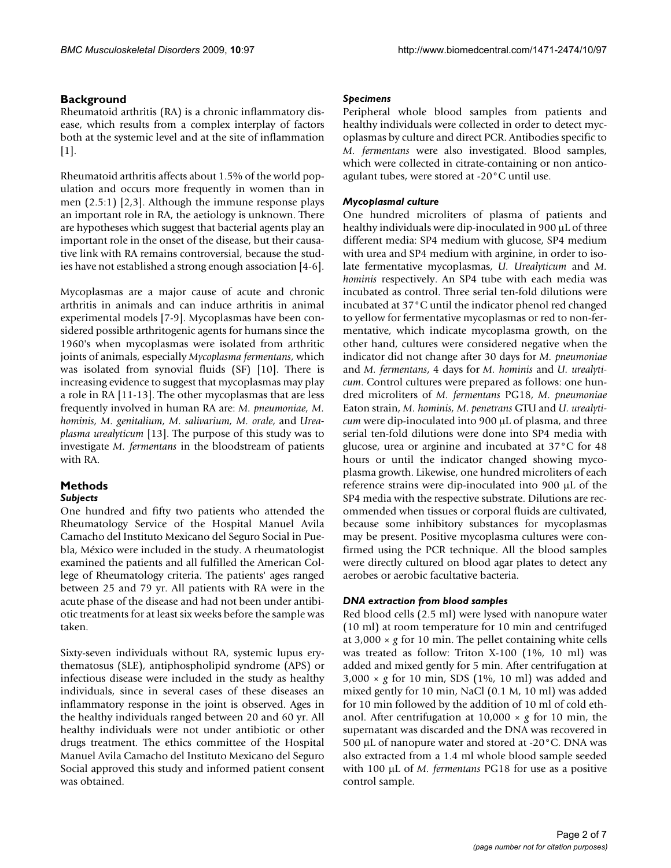## **Background**

Rheumatoid arthritis (RA) is a chronic inflammatory disease, which results from a complex interplay of factors both at the systemic level and at the site of inflammation  $[1]$  $[1]$ .

Rheumatoid arthritis affects about 1.5% of the world population and occurs more frequently in women than in men (2.5:1) [\[2,](#page-5-1)[3](#page-5-2)]. Although the immune response plays an important role in RA, the aetiology is unknown. There are hypotheses which suggest that bacterial agents play an important role in the onset of the disease, but their causative link with RA remains controversial, because the studies have not established a strong enough association [\[4-](#page-5-3)[6](#page-5-4)].

Mycoplasmas are a major cause of acute and chronic arthritis in animals and can induce arthritis in animal experimental models [[7](#page-5-5)[-9\]](#page-5-6). Mycoplasmas have been considered possible arthritogenic agents for humans since the 1960's when mycoplasmas were isolated from arthritic joints of animals, especially *Mycoplasma fermentans*, which was isolated from synovial fluids (SF) [\[10\]](#page-5-7). There is increasing evidence to suggest that mycoplasmas may play a role in RA [[11-](#page-5-8)[13](#page-5-9)]. The other mycoplasmas that are less frequently involved in human RA are: *M. pneumoniae, M. hominis, M. genitalium, M. salivarium, M. orale*, and *Ureaplasma urealyticum* [[13\]](#page-5-9). The purpose of this study was to investigate *M. fermentans* in the bloodstream of patients with RA.

#### **Methods** *Subjects*

One hundred and fifty two patients who attended the Rheumatology Service of the Hospital Manuel Avila Camacho del Instituto Mexicano del Seguro Social in Puebla, México were included in the study. A rheumatologist examined the patients and all fulfilled the American College of Rheumatology criteria. The patients' ages ranged between 25 and 79 yr. All patients with RA were in the acute phase of the disease and had not been under antibiotic treatments for at least six weeks before the sample was taken.

Sixty-seven individuals without RA, systemic lupus erythematosus (SLE), antiphospholipid syndrome (APS) or infectious disease were included in the study as healthy individuals, since in several cases of these diseases an inflammatory response in the joint is observed. Ages in the healthy individuals ranged between 20 and 60 yr. All healthy individuals were not under antibiotic or other drugs treatment. The ethics committee of the Hospital Manuel Avila Camacho del Instituto Mexicano del Seguro Social approved this study and informed patient consent was obtained.

## *Specimens*

Peripheral whole blood samples from patients and healthy individuals were collected in order to detect mycoplasmas by culture and direct PCR. Antibodies specific to *M. fermentans* were also investigated. Blood samples, which were collected in citrate-containing or non anticoagulant tubes, were stored at -20°C until use.

## *Mycoplasmal culture*

One hundred microliters of plasma of patients and healthy individuals were dip-inoculated in 900 μL of three different media: SP4 medium with glucose, SP4 medium with urea and SP4 medium with arginine, in order to isolate fermentative mycoplasmas, *U. Urealyticum* and *M. hominis* respectively. An SP4 tube with each media was incubated as control. Three serial ten-fold dilutions were incubated at 37°C until the indicator phenol red changed to yellow for fermentative mycoplasmas or red to non-fermentative, which indicate mycoplasma growth, on the other hand, cultures were considered negative when the indicator did not change after 30 days for *M. pneumoniae* and *M. fermentans*, 4 days for *M. hominis* and *U. urealyticum*. Control cultures were prepared as follows: one hundred microliters of *M. fermentans* PG18, *M. pneumoniae* Eaton strain, *M. hominis, M. penetrans* GTU and *U. urealyticum* were dip-inoculated into 900 μL of plasma, and three serial ten-fold dilutions were done into SP4 media with glucose, urea or arginine and incubated at 37°C for 48 hours or until the indicator changed showing mycoplasma growth. Likewise, one hundred microliters of each reference strains were dip-inoculated into 900 μL of the SP4 media with the respective substrate. Dilutions are recommended when tissues or corporal fluids are cultivated, because some inhibitory substances for mycoplasmas may be present. Positive mycoplasma cultures were confirmed using the PCR technique. All the blood samples were directly cultured on blood agar plates to detect any aerobes or aerobic facultative bacteria.

## *DNA extraction from blood samples*

Red blood cells (2.5 ml) were lysed with nanopure water (10 ml) at room temperature for 10 min and centrifuged at 3,000 × *g* for 10 min. The pellet containing white cells was treated as follow: Triton X-100 (1%, 10 ml) was added and mixed gently for 5 min. After centrifugation at 3,000 × *g* for 10 min, SDS (1%, 10 ml) was added and mixed gently for 10 min, NaCl (0.1 M, 10 ml) was added for 10 min followed by the addition of 10 ml of cold ethanol. After centrifugation at 10,000 × *g* for 10 min, the supernatant was discarded and the DNA was recovered in 500 μL of nanopure water and stored at -20°C. DNA was also extracted from a 1.4 ml whole blood sample seeded with 100 μL of *M. fermentans* PG18 for use as a positive control sample.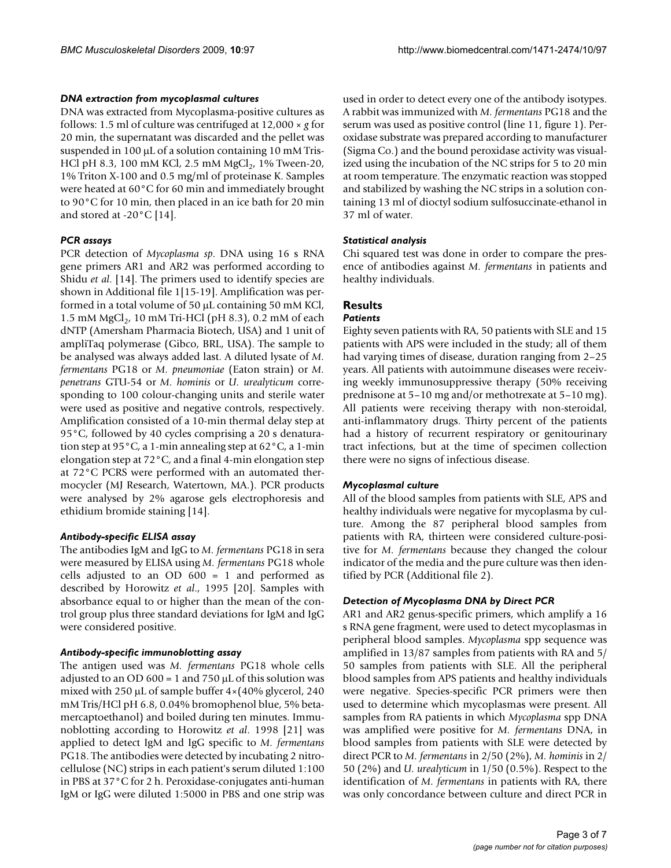#### *DNA extraction from mycoplasmal cultures*

DNA was extracted from Mycoplasma-positive cultures as follows: 1.5 ml of culture was centrifuged at 12,000 × *g* for 20 min, the supernatant was discarded and the pellet was suspended in 100 μL of a solution containing 10 mM Tris-HCl pH 8.3, 100 mM KCl, 2.5 mM MgCl<sub>2</sub>, 1% Tween-20, 1% Triton X-100 and 0.5 mg/ml of proteinase K. Samples were heated at 60°C for 60 min and immediately brought to 90°C for 10 min, then placed in an ice bath for 20 min and stored at -20°C [\[14](#page-5-10)].

## *PCR assays*

PCR detection of *Mycoplasma sp*. DNA using 16 s RNA gene primers AR1 and AR2 was performed according to Shidu *et al*. [[14\]](#page-5-10). The primers used to identify species are shown in Additional file [1\[](#page-5-11)[15](#page-5-12)[-19\]](#page-6-0). Amplification was performed in a total volume of 50 μL containing 50 mM KCl, 1.5 mM  $MgCl<sub>2</sub>$ , 10 mM Tri-HCl (pH 8.3), 0.2 mM of each dNTP (Amersham Pharmacia Biotech, USA) and 1 unit of ampliTaq polymerase (Gibco, BRL, USA). The sample to be analysed was always added last. A diluted lysate of *M. fermentans* PG18 or *M. pneumoniae* (Eaton strain) or *M. penetrans* GTU-54 or *M. hominis* or *U. urealyticum* corresponding to 100 colour-changing units and sterile water were used as positive and negative controls, respectively. Amplification consisted of a 10-min thermal delay step at 95°C, followed by 40 cycles comprising a 20 s denaturation step at 95°C, a 1-min annealing step at 62°C, a 1-min elongation step at 72°C, and a final 4-min elongation step at 72°C PCRS were performed with an automated thermocycler (MJ Research, Watertown, MA.). PCR products were analysed by 2% agarose gels electrophoresis and ethidium bromide staining [[14\]](#page-5-10).

#### *Antibody-specific ELISA assay*

The antibodies IgM and IgG to *M. fermentans* PG18 in sera were measured by ELISA using *M. fermentans* PG18 whole cells adjusted to an OD 600 = 1 and performed as described by Horowitz *et al*., 1995 [[20](#page-6-1)]. Samples with absorbance equal to or higher than the mean of the control group plus three standard deviations for IgM and IgG were considered positive.

#### *Antibody-specific immunoblotting assay*

The antigen used was *M. fermentans* PG18 whole cells adjusted to an OD 600 = 1 and 750  $\mu$ L of this solution was mixed with 250 μL of sample buffer 4×(40% glycerol, 240 mM Tris/HCl pH 6.8, 0.04% bromophenol blue, 5% betamercaptoethanol) and boiled during ten minutes. Immunoblotting according to Horowitz *et al*. 1998 [[21\]](#page-6-2) was applied to detect IgM and IgG specific to *M. fermentans* PG18. The antibodies were detected by incubating 2 nitrocellulose (NC) strips in each patient's serum diluted 1:100 in PBS at 37°C for 2 h. Peroxidase-conjugates anti-human IgM or IgG were diluted 1:5000 in PBS and one strip was

used in order to detect every one of the antibody isotypes. A rabbit was immunized with *M. fermentans* PG18 and the serum was used as positive control (line 11, figure [1\)](#page-3-0). Peroxidase substrate was prepared according to manufacturer (Sigma Co.) and the bound peroxidase activity was visualized using the incubation of the NC strips for 5 to 20 min at room temperature. The enzymatic reaction was stopped and stabilized by washing the NC strips in a solution containing 13 ml of dioctyl sodium sulfosuccinate-ethanol in 37 ml of water.

## *Statistical analysis*

Chi squared test was done in order to compare the presence of antibodies against *M. fermentans* in patients and healthy individuals.

#### **Results** *Patients*

Eighty seven patients with RA, 50 patients with SLE and 15 patients with APS were included in the study; all of them had varying times of disease, duration ranging from 2–25 years. All patients with autoimmune diseases were receiving weekly immunosuppressive therapy (50% receiving prednisone at 5–10 mg and/or methotrexate at 5–10 mg). All patients were receiving therapy with non-steroidal, anti-inflammatory drugs. Thirty percent of the patients had a history of recurrent respiratory or genitourinary tract infections, but at the time of specimen collection there were no signs of infectious disease.

## *Mycoplasmal culture*

All of the blood samples from patients with SLE, APS and healthy individuals were negative for mycoplasma by culture. Among the 87 peripheral blood samples from patients with RA, thirteen were considered culture-positive for *M. fermentans* because they changed the colour indicator of the media and the pure culture was then identified by PCR (Additional file [2\)](#page-5-13).

## *Detection of Mycoplasma DNA by Direct PCR*

AR1 and AR2 genus-specific primers, which amplify a 16 s RNA gene fragment, were used to detect mycoplasmas in peripheral blood samples. *Mycoplasma* spp sequence was amplified in 13/87 samples from patients with RA and 5/ 50 samples from patients with SLE. All the peripheral blood samples from APS patients and healthy individuals were negative. Species-specific PCR primers were then used to determine which mycoplasmas were present. All samples from RA patients in which *Mycoplasma* spp DNA was amplified were positive for *M. fermentans* DNA, in blood samples from patients with SLE were detected by direct PCR to *M. fermentans* in 2/50 (2%), *M. hominis* in 2/ 50 (2%) and *U. urealyticum* in 1/50 (0.5%). Respect to the identification of *M. fermentans* in patients with RA, there was only concordance between culture and direct PCR in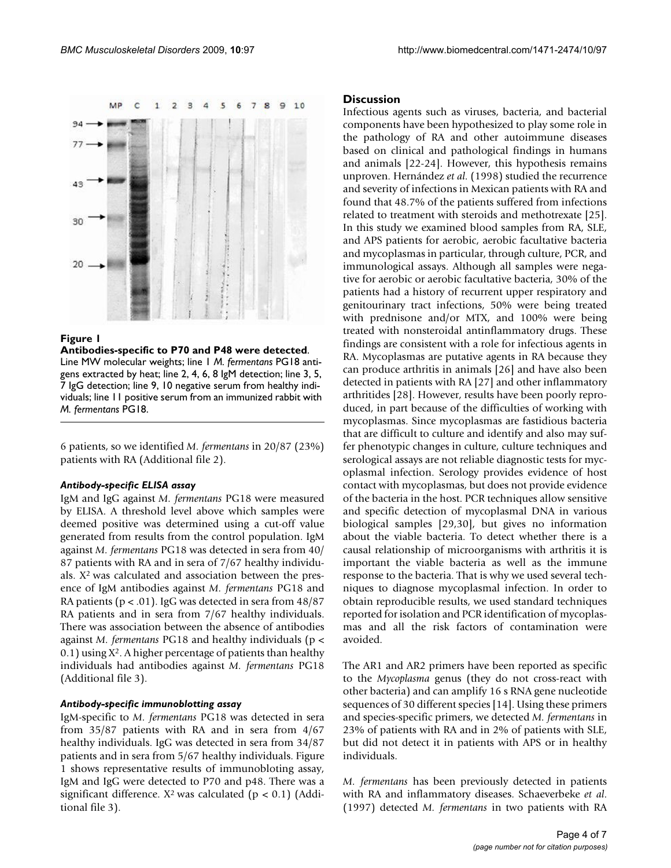<span id="page-3-0"></span>

#### Figure 1

**Antibodies-specific to P70 and P48 were detected**. Line MW molecular weights; line 1 *M. fermentans* PG18 antigens extracted by heat; line 2, 4, 6, 8 IgM detection; line 3, 5, 7 IgG detection; line 9, 10 negative serum from healthy individuals; line 11 positive serum from an immunized rabbit with *M. fermentans* PG18.

6 patients, so we identified *M. fermentans* in 20/87 (23%) patients with RA (Additional file [2\)](#page-5-13).

#### *Antibody-specific ELISA assay*

IgM and IgG against *M. fermentans* PG18 were measured by ELISA. A threshold level above which samples were deemed positive was determined using a cut-off value generated from results from the control population. IgM against *M. fermentans* PG18 was detected in sera from 40/ 87 patients with RA and in sera of 7/67 healthy individuals. X2 was calculated and association between the presence of IgM antibodies against *M. fermentans* PG18 and RA patients ( $p < .01$ ). IgG was detected in sera from  $48/87$ RA patients and in sera from 7/67 healthy individuals. There was association between the absence of antibodies against *M. fermentans* PG18 and healthy individuals (p <  $(0.1)$  using  $X^2$ . A higher percentage of patients than healthy individuals had antibodies against *M. fermentans* PG18 (Additional file [3\)](#page-5-14).

#### *Antibody-specific immunoblotting assay*

IgM-specific to *M. fermentans* PG18 was detected in sera from 35/87 patients with RA and in sera from 4/67 healthy individuals. IgG was detected in sera from 34/87 patients and in sera from 5/67 healthy individuals. Figure [1](#page-3-0) shows representative results of immunobloting assay, IgM and IgG were detected to P70 and p48. There was a significant difference.  $X^2$  was calculated ( $p < 0.1$ ) (Additional file [3\)](#page-5-14).

#### **Discussion**

Infectious agents such as viruses, bacteria, and bacterial components have been hypothesized to play some role in the pathology of RA and other autoimmune diseases based on clinical and pathological findings in humans and animals [\[22](#page-6-3)[-24](#page-6-4)]. However, this hypothesis remains unproven. Hernández *et al*. (1998) studied the recurrence and severity of infections in Mexican patients with RA and found that 48.7% of the patients suffered from infections related to treatment with steroids and methotrexate [\[25](#page-6-5)]. In this study we examined blood samples from RA, SLE, and APS patients for aerobic, aerobic facultative bacteria and mycoplasmas in particular, through culture, PCR, and immunological assays. Although all samples were negative for aerobic or aerobic facultative bacteria, 30% of the patients had a history of recurrent upper respiratory and genitourinary tract infections, 50% were being treated with prednisone and/or MTX, and 100% were being treated with nonsteroidal antinflammatory drugs. These findings are consistent with a role for infectious agents in RA. Mycoplasmas are putative agents in RA because they can produce arthritis in animals [\[26\]](#page-6-6) and have also been detected in patients with RA [\[27](#page-6-7)] and other inflammatory arthritides [\[28\]](#page-6-8). However, results have been poorly reproduced, in part because of the difficulties of working with mycoplasmas. Since mycoplasmas are fastidious bacteria that are difficult to culture and identify and also may suffer phenotypic changes in culture, culture techniques and serological assays are not reliable diagnostic tests for mycoplasmal infection. Serology provides evidence of host contact with mycoplasmas, but does not provide evidence of the bacteria in the host. PCR techniques allow sensitive and specific detection of mycoplasmal DNA in various biological samples [[29](#page-6-9),[30\]](#page-6-10), but gives no information about the viable bacteria. To detect whether there is a causal relationship of microorganisms with arthritis it is important the viable bacteria as well as the immune response to the bacteria. That is why we used several techniques to diagnose mycoplasmal infection. In order to obtain reproducible results, we used standard techniques reported for isolation and PCR identification of mycoplasmas and all the risk factors of contamination were avoided.

The AR1 and AR2 primers have been reported as specific to the *Mycoplasma* genus (they do not cross-react with other bacteria) and can amplify 16 s RNA gene nucleotide sequences of 30 different species [\[14\]](#page-5-10). Using these primers and species-specific primers, we detected *M. fermentans* in 23% of patients with RA and in 2% of patients with SLE, but did not detect it in patients with APS or in healthy individuals.

*M. fermentans* has been previously detected in patients with RA and inflammatory diseases. Schaeverbeke *et al*. (1997) detected *M. fermentans* in two patients with RA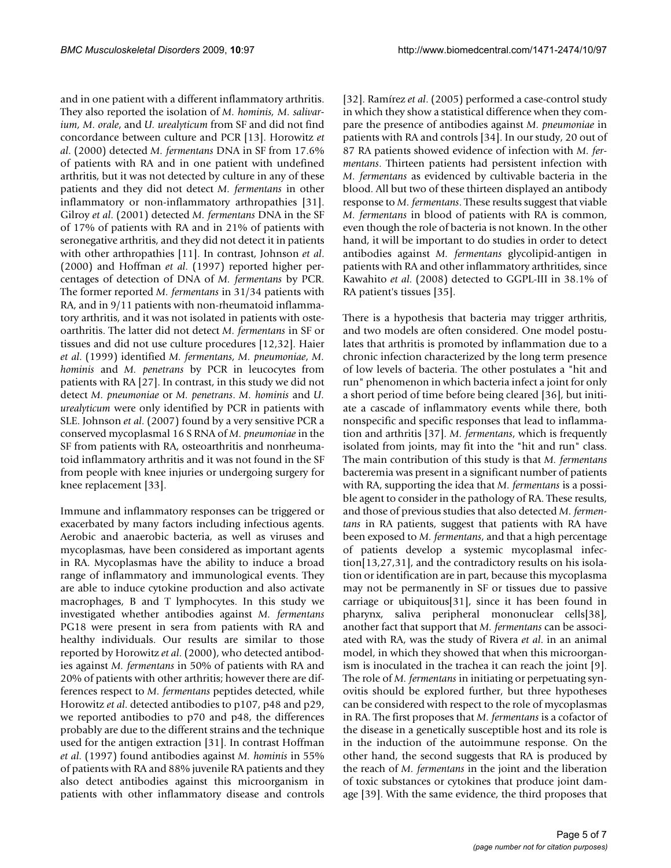and in one patient with a different inflammatory arthritis. They also reported the isolation of *M. hominis, M. salivarium, M. orale, and U. urealyticum from SF and did not find* concordance between culture and PCR [\[13](#page-5-9)]. Horowitz *et al*. (2000) detected *M. fermentans* DNA in SF from 17.6% of patients with RA and in one patient with undefined arthritis, but it was not detected by culture in any of these patients and they did not detect *M. fermentans* in other inflammatory or non-inflammatory arthropathies [\[31](#page-6-11)]. Gilroy *et al*. (2001) detected *M. fermentans* DNA in the SF of 17% of patients with RA and in 21% of patients with seronegative arthritis, and they did not detect it in patients with other arthropathies [[11\]](#page-5-8). In contrast, Johnson *et al*. (2000) and Hoffman *et al*. (1997) reported higher percentages of detection of DNA of *M. fermentans* by PCR. The former reported *M. fermentans* in 31/34 patients with RA, and in 9/11 patients with non-rheumatoid inflammatory arthritis, and it was not isolated in patients with osteoarthritis. The latter did not detect *M. fermentans* in SF or tissues and did not use culture procedures [[12,](#page-5-15)[32](#page-6-12)]. Haier *et al*. (1999) identified *M. fermentans*, *M. pneumoniae*, *M. hominis* and *M. penetrans* by PCR in leucocytes from patients with RA [[27](#page-6-7)]. In contrast, in this study we did not detect *M. pneumoniae* or *M. penetrans*. *M. hominis* and *U. urealyticum* were only identified by PCR in patients with SLE. Johnson *et al*. (2007) found by a very sensitive PCR a conserved mycoplasmal 16 S RNA of *M. pneumoniae* in the SF from patients with RA, osteoarthritis and nonrheumatoid inflammatory arthritis and it was not found in the SF from people with knee injuries or undergoing surgery for knee replacement [\[33\]](#page-6-13).

Immune and inflammatory responses can be triggered or exacerbated by many factors including infectious agents. Aerobic and anaerobic bacteria, as well as viruses and mycoplasmas, have been considered as important agents in RA. Mycoplasmas have the ability to induce a broad range of inflammatory and immunological events. They are able to induce cytokine production and also activate macrophages, B and T lymphocytes. In this study we investigated whether antibodies against *M. fermentans* PG18 were present in sera from patients with RA and healthy individuals. Our results are similar to those reported by Horowitz *et al*. (2000), who detected antibodies against *M. fermentans* in 50% of patients with RA and 20% of patients with other arthritis; however there are differences respect to *M. fermentans* peptides detected, while Horowitz *et al*. detected antibodies to p107, p48 and p29, we reported antibodies to p70 and p48, the differences probably are due to the different strains and the technique used for the antigen extraction [\[31\]](#page-6-11). In contrast Hoffman *et al*. (1997) found antibodies against *M. hominis* in 55% of patients with RA and 88% juvenile RA patients and they also detect antibodies against this microorganism in patients with other inflammatory disease and controls

[[32](#page-6-12)]. Ramírez *et al*. (2005) performed a case-control study in which they show a statistical difference when they compare the presence of antibodies against *M. pneumoniae* in patients with RA and controls [[34\]](#page-6-14). In our study, 20 out of 87 RA patients showed evidence of infection with *M. fermentans*. Thirteen patients had persistent infection with *M. fermentans* as evidenced by cultivable bacteria in the blood. All but two of these thirteen displayed an antibody response to *M. fermentans*. These results suggest that viable *M. fermentans* in blood of patients with RA is common, even though the role of bacteria is not known. In the other hand, it will be important to do studies in order to detect antibodies against *M. fermentans* glycolipid-antigen in patients with RA and other inflammatory arthritides, since Kawahito *et al*. (2008) detected to GGPL-III in 38.1% of RA patient's tissues [\[35\]](#page-6-15).

There is a hypothesis that bacteria may trigger arthritis, and two models are often considered. One model postulates that arthritis is promoted by inflammation due to a chronic infection characterized by the long term presence of low levels of bacteria. The other postulates a "hit and run" phenomenon in which bacteria infect a joint for only a short period of time before being cleared [[36](#page-6-16)], but initiate a cascade of inflammatory events while there, both nonspecific and specific responses that lead to inflammation and arthritis [[37\]](#page-6-17). *M. fermentans*, which is frequently isolated from joints, may fit into the "hit and run" class. The main contribution of this study is that *M. fermentans* bacteremia was present in a significant number of patients with RA, supporting the idea that *M. fermentans* is a possible agent to consider in the pathology of RA. These results, and those of previous studies that also detected *M. fermentans* in RA patients, suggest that patients with RA have been exposed to *M. fermentans*, and that a high percentage of patients develop a systemic mycoplasmal infection[[13,](#page-5-9)[27](#page-6-7),[31](#page-6-11)], and the contradictory results on his isolation or identification are in part, because this mycoplasma may not be permanently in SF or tissues due to passive carriage or ubiquitous[\[31](#page-6-11)], since it has been found in pharynx, saliva peripheral mononuclear cells[\[38](#page-6-18)], another fact that support that *M. fermentans* can be associated with RA, was the study of Rivera *et al*. in an animal model, in which they showed that when this microorganism is inoculated in the trachea it can reach the joint [[9](#page-5-6)]. The role of *M. fermentans* in initiating or perpetuating synovitis should be explored further, but three hypotheses can be considered with respect to the role of mycoplasmas in RA. The first proposes that *M. fermentans* is a cofactor of the disease in a genetically susceptible host and its role is in the induction of the autoimmune response. On the other hand, the second suggests that RA is produced by the reach of *M. fermentans* in the joint and the liberation of toxic substances or cytokines that produce joint damage [[39\]](#page-6-19). With the same evidence, the third proposes that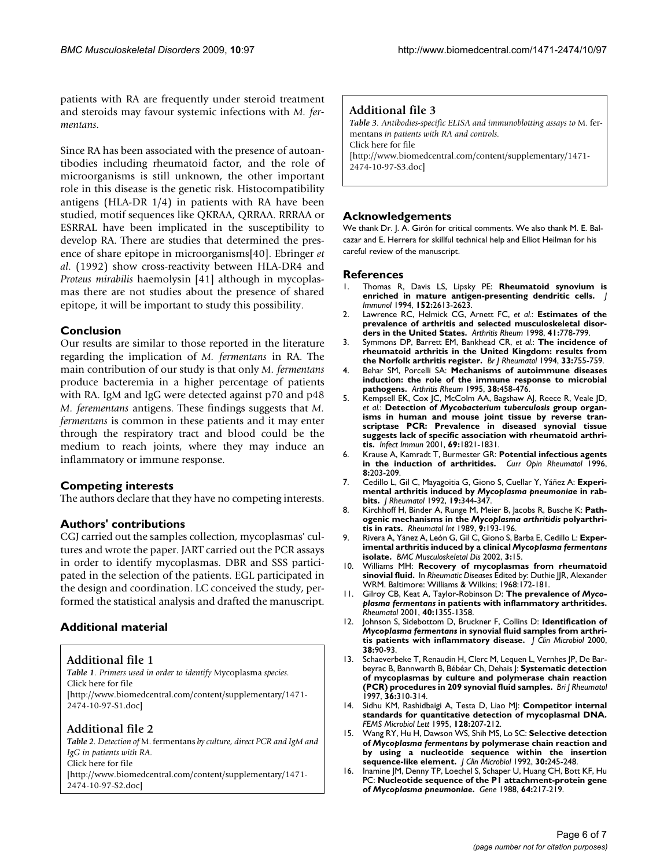patients with RA are frequently under steroid treatment and steroids may favour systemic infections with *M. fermentans*.

Since RA has been associated with the presence of autoantibodies including rheumatoid factor, and the role of microorganisms is still unknown, the other important role in this disease is the genetic risk. Histocompatibility antigens (HLA-DR 1/4) in patients with RA have been studied, motif sequences like QKRAA, QRRAA. RRRAA or ESRRAL have been implicated in the susceptibility to develop RA. There are studies that determined the presence of share epitope in microorganisms[\[40\]](#page-6-20). Ebringer *et al*. (1992) show cross-reactivity between HLA-DR4 and *Proteus mirabilis* haemolysin [\[41](#page-6-21)] although in mycoplasmas there are not studies about the presence of shared epitope, it will be important to study this possibility.

## **Conclusion**

Our results are similar to those reported in the literature regarding the implication of *M. fermentans* in RA. The main contribution of our study is that only *M. fermentans* produce bacteremia in a higher percentage of patients with RA. IgM and IgG were detected against p70 and p48 *M. ferementans* antigens. These findings suggests that *M. fermentans* is common in these patients and it may enter through the respiratory tract and blood could be the medium to reach joints, where they may induce an inflammatory or immune response.

# **Competing interests**

The authors declare that they have no competing interests.

## **Authors' contributions**

CGJ carried out the samples collection, mycoplasmas' cultures and wrote the paper. JART carried out the PCR assays in order to identify mycoplasmas. DBR and SSS participated in the selection of the patients. EGL participated in the design and coordination. LC conceived the study, performed the statistical analysis and drafted the manuscript.

# **Additional material**

<span id="page-5-11"></span>**Additional file 1**

*Table 1. Primers used in order to identify* Mycoplasma *species.* Click here for file

[\[http://www.biomedcentral.com/content/supplementary/1471-](http://www.biomedcentral.com/content/supplementary/1471-2474-10-97-S1.doc) 2474-10-97-S1.doc]

# <span id="page-5-13"></span>**Additional file 2**

*Table 2. Detection of* M. fermentans *by culture, direct PCR and IgM and IgG in patients with RA.* Click here for file

[\[http://www.biomedcentral.com/content/supplementary/1471-](http://www.biomedcentral.com/content/supplementary/1471-2474-10-97-S2.doc) 2474-10-97-S2.doc]

## <span id="page-5-14"></span>**Additional file 3**

*Table 3. Antibodies-specific ELISA and immunoblotting assays to* M. fermentans *in patients with RA and controls.* Click here for file [\[http://www.biomedcentral.com/content/supplementary/1471-](http://www.biomedcentral.com/content/supplementary/1471-2474-10-97-S3.doc) 2474-10-97-S3.doc]

## **Acknowledgements**

We thank Dr. J. A. Girón for critical comments. We also thank M. E. Balcazar and E. Herrera for skillful technical help and Elliot Heilman for his careful review of the manuscript.

#### **References**

- <span id="page-5-0"></span>1. Thomas R, Davis LS, Lipsky PE: **[Rheumatoid synovium is](http://www.ncbi.nlm.nih.gov/entrez/query.fcgi?cmd=Retrieve&db=PubMed&dopt=Abstract&list_uids=7510751) [enriched in mature antigen-presenting dendritic cells.](http://www.ncbi.nlm.nih.gov/entrez/query.fcgi?cmd=Retrieve&db=PubMed&dopt=Abstract&list_uids=7510751)** *J Immunol* 1994, **152:**2613-2623.
- <span id="page-5-1"></span>2. Lawrence RC, Helmick CG, Arnett FC, *et al.*: **[Estimates of the](http://www.ncbi.nlm.nih.gov/entrez/query.fcgi?cmd=Retrieve&db=PubMed&dopt=Abstract&list_uids=9588729) [prevalence of arthritis and selected musculoskeletal disor](http://www.ncbi.nlm.nih.gov/entrez/query.fcgi?cmd=Retrieve&db=PubMed&dopt=Abstract&list_uids=9588729)[ders in the United States.](http://www.ncbi.nlm.nih.gov/entrez/query.fcgi?cmd=Retrieve&db=PubMed&dopt=Abstract&list_uids=9588729)** *Arthritis Rheum* 1998, **41:**778-799.
- <span id="page-5-2"></span>3. Symmons DP, Barrett EM, Bankhead CR, *et al.*: **The incidence of rheumatoid arthritis in the United Kingdom: results from the Norfolk arthritis register.** *Br J Rheumatol* 1994, **33:**755-759.
- <span id="page-5-3"></span>4. Behar SM, Porcelli SA: **[Mechanisms of autoimmune diseases](http://www.ncbi.nlm.nih.gov/entrez/query.fcgi?cmd=Retrieve&db=PubMed&dopt=Abstract&list_uids=7718001) [induction: the role of the immune response to microbial](http://www.ncbi.nlm.nih.gov/entrez/query.fcgi?cmd=Retrieve&db=PubMed&dopt=Abstract&list_uids=7718001) [pathogens.](http://www.ncbi.nlm.nih.gov/entrez/query.fcgi?cmd=Retrieve&db=PubMed&dopt=Abstract&list_uids=7718001)** *Arthritis Rheum* 1995, **38:**458-476.
- 5. Kempsell EK, Cox JC, McColm AA, Bagshaw AJ, Reece R, Veale JD, *et al.*: **Detection of** *Mycobacterium tuberculosis* **[group organ](http://www.ncbi.nlm.nih.gov/entrez/query.fcgi?cmd=Retrieve&db=PubMed&dopt=Abstract&list_uids=11179360)[isms in human and mouse joint tissue by reverse tran](http://www.ncbi.nlm.nih.gov/entrez/query.fcgi?cmd=Retrieve&db=PubMed&dopt=Abstract&list_uids=11179360)scriptase PCR: Prevalence in diseased synovial tissue suggests lack of specific association with rheumatoid arthri[tis.](http://www.ncbi.nlm.nih.gov/entrez/query.fcgi?cmd=Retrieve&db=PubMed&dopt=Abstract&list_uids=11179360)** *Infect Immun* 2001, **69:**1821-1831.
- <span id="page-5-4"></span>6. Krause A, Kamradt T, Burmester GR: **[Potential infectious agents](http://www.ncbi.nlm.nih.gov/entrez/query.fcgi?cmd=Retrieve&db=PubMed&dopt=Abstract&list_uids=8796979) [in the induction of arthritides.](http://www.ncbi.nlm.nih.gov/entrez/query.fcgi?cmd=Retrieve&db=PubMed&dopt=Abstract&list_uids=8796979)** *Curr Opin Rheumatol* 1996, **8:**203-209.
- <span id="page-5-5"></span>7. Cedillo L, Gil C, Mayagoitia G, Giono S, Cuellar Y, Yáñez A: **Experimental arthritis induced by** *Mycoplasma pneumoniae* **[in rab](http://www.ncbi.nlm.nih.gov/entrez/query.fcgi?cmd=Retrieve&db=PubMed&dopt=Abstract&list_uids=1578446)[bits.](http://www.ncbi.nlm.nih.gov/entrez/query.fcgi?cmd=Retrieve&db=PubMed&dopt=Abstract&list_uids=1578446)** *J Rheumatol* 1992, **19:**344-347.
- 8. Kirchhoff H, Binder A, Runge M, Meier B, Jacobs R, Busche K: **Pathogenic mechanisms in the** *Mycoplasma arthritidis* **[polyarthri](http://www.ncbi.nlm.nih.gov/entrez/query.fcgi?cmd=Retrieve&db=PubMed&dopt=Abstract&list_uids=2481878)[tis in rats.](http://www.ncbi.nlm.nih.gov/entrez/query.fcgi?cmd=Retrieve&db=PubMed&dopt=Abstract&list_uids=2481878)** *Rheumatol Int* 1989, **9:**193-196.
- <span id="page-5-6"></span>9. Rivera A, Yánez A, León G, Gil C, Giono S, Barba E, Cedillo L: **Experimental arthritis induced by a clinical** *Mycoplasma fermentans* **isolate.** *BMC Musculoskeletal Dis* 2002, **3:**15.
- <span id="page-5-7"></span>10. Williams MH: **Recovery of mycoplasmas from rheumatoid sinovial fluid.** In *Rheumatic Diseases* Edited by: Duthie JJR, Alexander WRM. Baltimore: Williams & Wilkins; 1968:172-181.
- <span id="page-5-8"></span>11. Gilroy CB, Keat A, Taylor-Robinson D: **The prevalence of** *Mycoplasma fermentans* **in patients with inflammatory arthritides.** *Rheumatol* 2001, **40:**1355-1358.
- <span id="page-5-15"></span>12. Johnson S, Sidebottom D, Bruckner F, Collins D: **Identification of** *Mycoplasma fermentans* **[in synovial fluid samples from arthri](http://www.ncbi.nlm.nih.gov/entrez/query.fcgi?cmd=Retrieve&db=PubMed&dopt=Abstract&list_uids=10618069)[tis patients with inflammatory disease.](http://www.ncbi.nlm.nih.gov/entrez/query.fcgi?cmd=Retrieve&db=PubMed&dopt=Abstract&list_uids=10618069)** *J Clin Microbiol* 2000, **38:**90-93.
- <span id="page-5-9"></span>13. Schaeverbeke T, Renaudin H, Clerc M, Lequen L, Vernhes JP, De Barbeyrac B, Bannwarth B, Bébéar Ch, Dehais J: **Systematic detection of mycoplasmas by culture and polymerase chain reaction (PCR) procedures in 209 synovial fluid samples.** *Bri J Rheumatol* 1997, **36:**310-314.
- <span id="page-5-10"></span>14. Sidhu KM, Rashidbaigi A, Testa D, Liao MJ: **[Competitor internal](http://www.ncbi.nlm.nih.gov/entrez/query.fcgi?cmd=Retrieve&db=PubMed&dopt=Abstract&list_uids=7750739) [standards for quantitative detection of mycoplasmal DNA.](http://www.ncbi.nlm.nih.gov/entrez/query.fcgi?cmd=Retrieve&db=PubMed&dopt=Abstract&list_uids=7750739)** *FEMS Microbiol Lett* 1995, **128:**207-212.
- <span id="page-5-12"></span>15. Wang RY, Hu H, Dawson WS, Shih MS, Lo SC: **Selective detection of** *Mycoplasma fermentans* **[by polymerase chain reaction and](http://www.ncbi.nlm.nih.gov/entrez/query.fcgi?cmd=Retrieve&db=PubMed&dopt=Abstract&list_uids=1310331) [by using a nucleotide sequence within the insertion](http://www.ncbi.nlm.nih.gov/entrez/query.fcgi?cmd=Retrieve&db=PubMed&dopt=Abstract&list_uids=1310331) [sequence-like element.](http://www.ncbi.nlm.nih.gov/entrez/query.fcgi?cmd=Retrieve&db=PubMed&dopt=Abstract&list_uids=1310331)** *J Clin Microbiol* 1992, **30:**245-248.
- 16. Inamine JM, Denny TP, Loechel S, Schaper U, Huang CH, Bott KF, Hu PC: **Nucleotide sequence of the P1 attachment-protein gene of** *Mycoplasma pneumoniae***[.](http://www.ncbi.nlm.nih.gov/entrez/query.fcgi?cmd=Retrieve&db=PubMed&dopt=Abstract&list_uids=2841195)** *Gene* 1988, **64:**217-219.